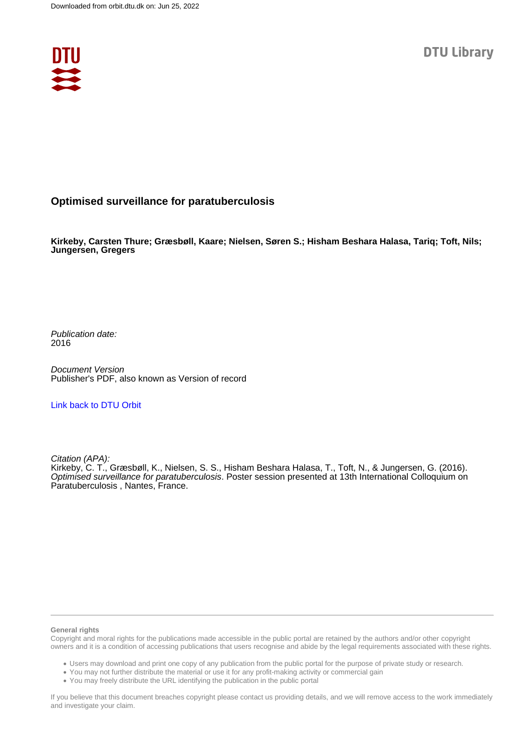

### **Optimised surveillance for paratuberculosis**

**Kirkeby, Carsten Thure; Græsbøll, Kaare; Nielsen, Søren S.; Hisham Beshara Halasa, Tariq; Toft, Nils; Jungersen, Gregers**

Publication date: 2016

Document Version Publisher's PDF, also known as Version of record

[Link back to DTU Orbit](https://orbit.dtu.dk/en/publications/73f27a96-bd96-4823-893e-0bada0258bdf)

Citation (APA):

Kirkeby, C. T., Græsbøll, K., Nielsen, S. S., Hisham Beshara Halasa, T., Toft, N., & Jungersen, G. (2016). Optimised surveillance for paratuberculosis. Poster session presented at 13th International Colloquium on Paratuberculosis, Nantes, France.

#### **General rights**

Copyright and moral rights for the publications made accessible in the public portal are retained by the authors and/or other copyright owners and it is a condition of accessing publications that users recognise and abide by the legal requirements associated with these rights.

Users may download and print one copy of any publication from the public portal for the purpose of private study or research.

- You may not further distribute the material or use it for any profit-making activity or commercial gain
- You may freely distribute the URL identifying the publication in the public portal

If you believe that this document breaches copyright please contact us providing details, and we will remove access to the work immediately and investigate your claim.